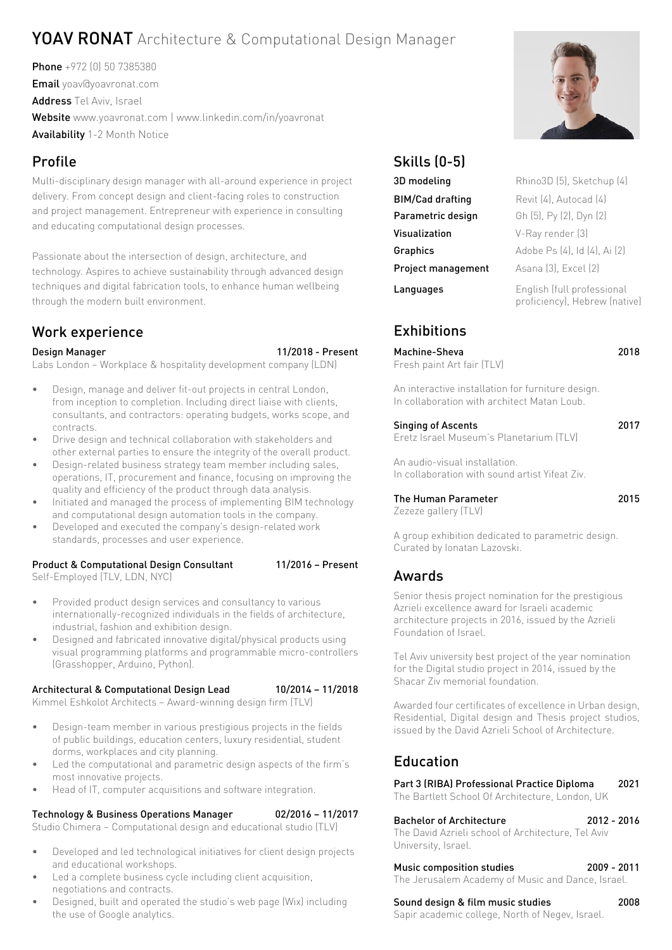# YOAV RONAT Architecture & Computational Design Manager

Phone +972 (0) 50 7385380 Email yoav@yoavronat.com Address Tel Aviv, Israel Website [www.yoavronat.com](http://www.yoavronat.com) | www.linkedin.com/in/yoavronat Availability 1-2 Month Notice

Multi-disciplinary design manager with all-around experience in project delivery. From concept design and client-facing roles to construction and project management. Entrepreneur with experience in consulting and educating computational design processes.

Passionate about the intersection of design, architecture, and technology. Aspires to achieve sustainability through advanced design techniques and digital fabrication tools, to enhance human wellbeing through the modern built environment.

# Work experience Exhibitions

#### Design Manager 11/2018 - Present Labs London – Workplace & hospitality development company (LDN)

- Design, manage and deliver fit-out projects in central London, from inception to completion. Including direct liaise with clients, consultants, and contractors: operating budgets, works scope, and contracts.
- Drive design and technical collaboration with stakeholders and other external parties to ensure the integrity of the overall product.
- Design-related business strategy team member including sales, operations, IT, procurement and finance, focusing on improving the quality and efficiency of the product through data analysis.
- Initiated and managed the process of implementing BIM technology and computational design automation tools in the company.
- Developed and executed the company's design-related work standards, processes and user experience.

# Product & Computational Design Consultant 11/2016 - Present

Self-Employed (TLV, LDN, NYC)

- Provided product design services and consultancy to various internationally-recognized individuals in the fields of architecture,
- industrial, fashion and exhibition design. • Designed and fabricated innovative digital/physical products using visual programming platforms and programmable micro-controllers (Grasshopper, Arduino, Python).

### Architectural & Computational Design Lead 10/2014 – 11/2018

Kimmel Eshkolot Architects – Award-winning design firm (TLV)

- Design-team member in various prestigious projects in the fields of public buildings, education centers, luxury residential, student dorms, workplaces and city planning.
- Led the computational and parametric design aspects of the firm's most innovative projects.
- Head of IT, computer acquisitions and software integration.

Technology & Business Operations Manager 02/2016 – 11/2017

Studio Chimera – Computational design and educational studio (TLV)

- Developed and led technological initiatives for client design projects and educational workshops.
- Led a complete business cycle including client acquisition, negotiations and contracts.
- Designed, built and operated the studio's web page (Wix) including the use of Google analytics.



| 3D modeling               | Rhino3D (5), Sketchup (4)                                   |
|---------------------------|-------------------------------------------------------------|
| <b>BIM/Cad drafting</b>   | Revit (4), Autocad (4)                                      |
| Parametric design         | Gh (5), Py (2), Dyn (2)                                     |
| Visualization             | V-Ray render [3]                                            |
| <b>Graphics</b>           | Adobe Ps (4), Id (4), Ai (2)                                |
| <b>Project management</b> | Asana [3], Excel [2]                                        |
| Languages                 | English (full professional<br>proficiency), Hebrew (native) |

Machine-Sheva 2018 Fresh paint Art fair (TLV)

An interactive installation for furniture design. In collaboration with architect Matan Loub.

# Singing of Ascents 2017

Eretz Israel Museum's Planetarium (TLV)

An audio-visual installation. In collaboration with sound artist Yifeat Ziv.

# The Human Parameter 2015

Zezeze gallery (TLV)

A group exhibition dedicated to parametric design. Curated by Ionatan Lazovski.

# Awards

Senior thesis project nomination for the prestigious Azrieli excellence award for Israeli academic architecture projects in 2016, issued by the [Azrieli](http://www.azrielifoundation.org.il/Article-14-Azrieli-Foundation.aspx)  [Foundation of Israel.](http://www.azrielifoundation.org.il/Article-14-Azrieli-Foundation.aspx)

Tel Aviv university best project of the year nomination for the Digital studio project in 2014, issued by the Shacar Ziv memorial foundation.

Awarded four certificates of excellence in Urban design, Residential, Digital design and Thesis project studios, issued by the David Azrieli School of Architecture.

# Education

Part 3 (RIBA) Professional Practice Diploma 2021 The Bartlett School Of Architecture, London, UK

# Bachelor of Architecture 2012 - 2016

The David Azrieli school of Architecture, Tel Aviv University, Israel.

# Music composition studies 2009 - 2011

The Jerusalem Academy of Music and Dance, Israel.

# Sound design & film music studies 2008

Sapir academic college, North of Negev, Israel.

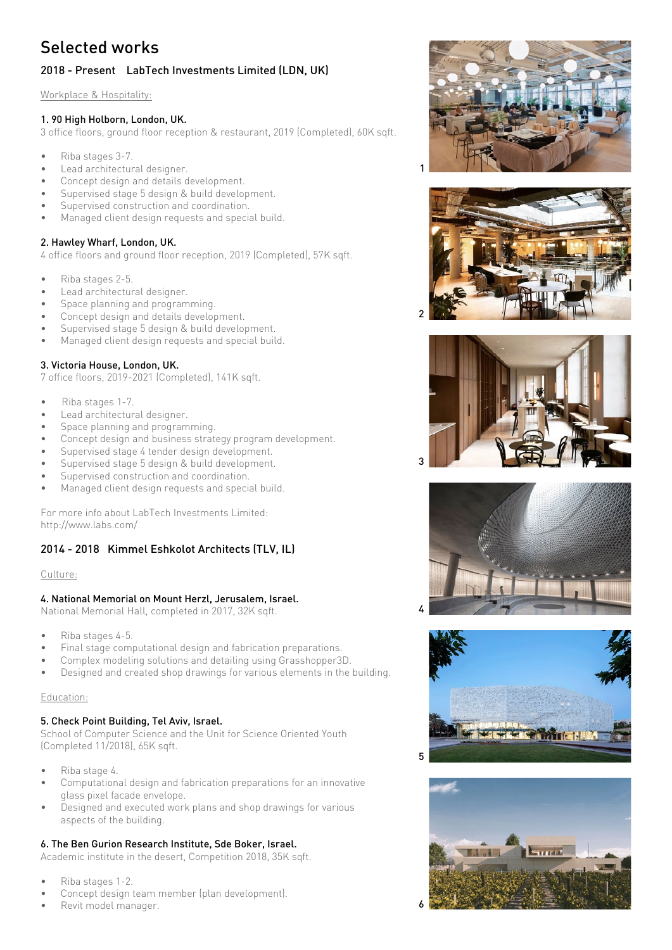# Selected works

# 2018 - Present LabTech Investments Limited (LDN, UK)

Workplace & Hospitality:

### 1. 90 High Holborn, London, UK.

3 office floors, ground floor reception & restaurant, 2019 (Completed), 60K sqft.

- Riba stages 3-7.
- Lead architectural designer.
- Concept design and details development.
- Supervised stage 5 design & build development.
- Supervised construction and coordination.
- Managed client design requests and special build.

### 2. Hawley Wharf, London, UK.

4 office floors and ground floor reception, 2019 (Completed), 57K sqft.

- Riba stages 2-5.
- Lead architectural designer.
- Space planning and programming.
- Concept design and details development.
- Supervised stage 5 design & build development.
- Managed client design requests and special build.

## 3. Victoria House, London, UK.

7 office floors, 2019-2021 (Completed), 141K sqft.

- Riba stages 1-7.
- Lead architectural designer.
- Space planning and programming.
- Concept design and business strategy program development.
- Supervised stage 4 tender design development.
- Supervised stage 5 design & build development.
- Supervised construction and coordination.
- Managed client design requests and special build.

For more info about LabTech Investments Limited: http://www.labs.com/

# 2014 - 2018 Kimmel Eshkolot Architects (TLV, IL)

#### Culture:

### 4. National Memorial on Mount Herzl, Jerusalem, Israel.

National Memorial Hall, completed in 2017, 32K sqft.

- Riba stages 4-5.
- Final stage computational design and fabrication preparations.
- Complex modeling solutions and detailing using Grasshopper3D.
- Designed and created shop drawings for various elements in the building.

# Education:

# 5. Check Point Building, Tel Aviv, Israel.

School of Computer Science and the Unit for Science Oriented Youth (Completed 11/2018), 65K sqft.

- Riba stage 4.
- Computational design and fabrication preparations for an innovative glass pixel facade envelope.
- Designed and executed work plans and shop drawings for various aspects of the building.

# 6. The Ben Gurion Research Institute, Sde Boker, Israel.

Academic institute in the desert, Competition 2018, 35K sqft.

- Riba stages 1-2.
- Concept design team member (plan development).
- Revit model manager.